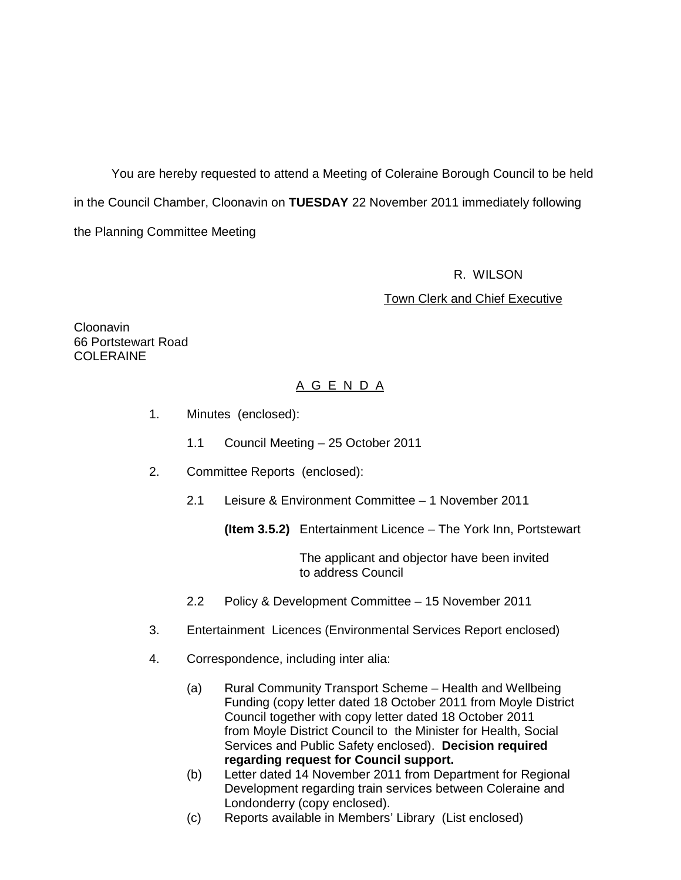You are hereby requested to attend a Meeting of Coleraine Borough Council to be held in the Council Chamber, Cloonavin on **TUESDAY** 22 November 2011 immediately following the Planning Committee Meeting

#### R. WILSON

#### Town Clerk and Chief Executive

Cloonavin 66 Portstewart Road COLERAINE

## A G E N D A

- 1. Minutes (enclosed):
	- 1.1 Council Meeting 25 October 2011
- 2. Committee Reports (enclosed):
	- 2.1 Leisure & Environment Committee 1 November 2011

**(Item 3.5.2)** Entertainment Licence – The York Inn, Portstewart

 The applicant and objector have been invited to address Council

- 2.2 Policy & Development Committee 15 November 2011
- 3. Entertainment Licences (Environmental Services Report enclosed)
- 4. Correspondence, including inter alia:
	- (a) Rural Community Transport Scheme Health and Wellbeing Funding (copy letter dated 18 October 2011 from Moyle District Council together with copy letter dated 18 October 2011 from Moyle District Council to the Minister for Health, Social Services and Public Safety enclosed). **Decision required regarding request for Council support.**
	- (b) Letter dated 14 November 2011 from Department for Regional Development regarding train services between Coleraine and Londonderry (copy enclosed).
	- (c) Reports available in Members' Library (List enclosed)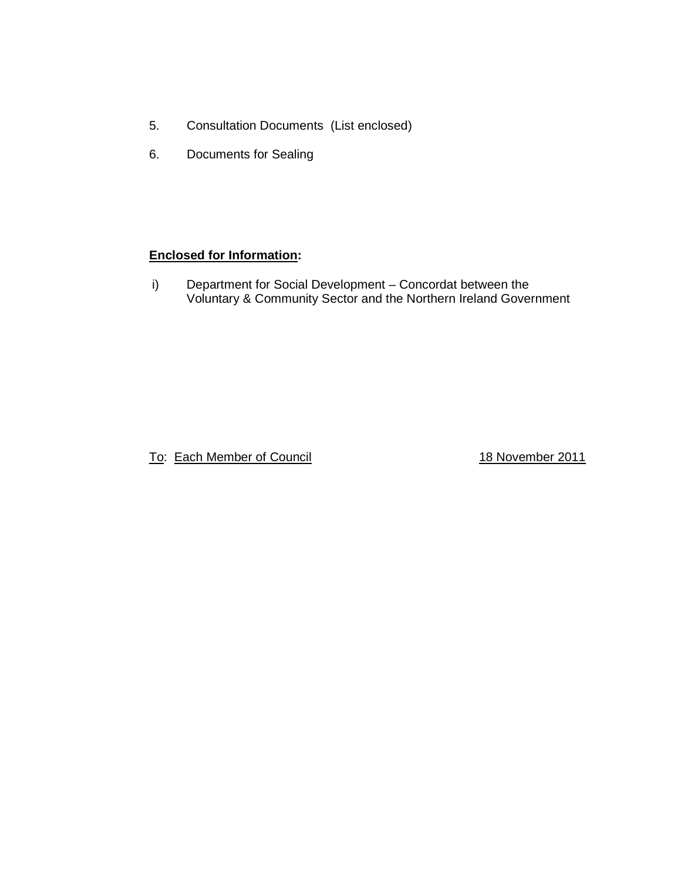- 5. Consultation Documents (List enclosed)
- 6. Documents for Sealing

## **Enclosed for Information:**

i) Department for Social Development – Concordat between the Voluntary & Community Sector and the Northern Ireland Government

To: Each Member of Council **18 November 2011**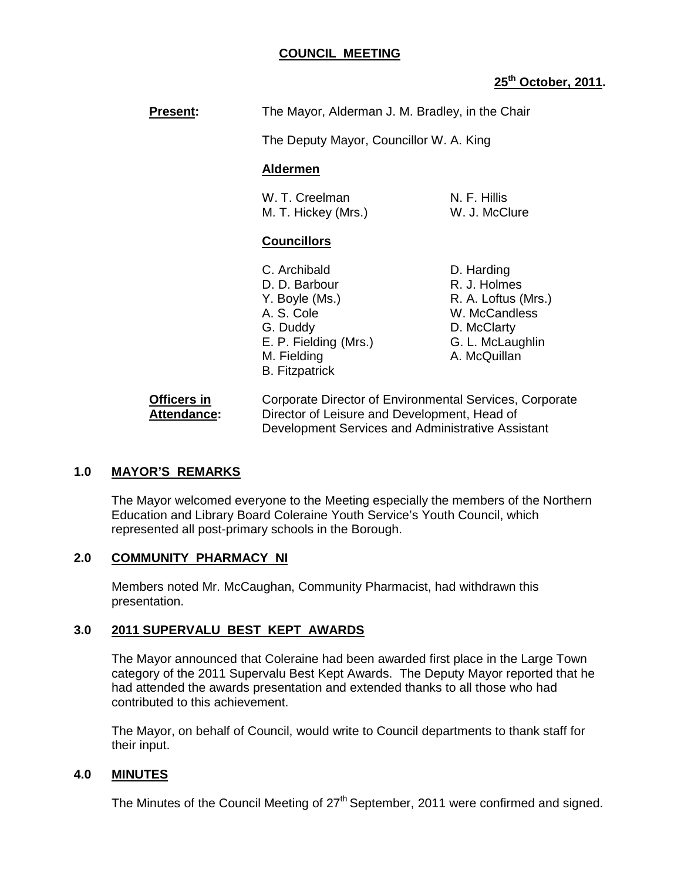## **COUNCIL MEETING**

## **25th October, 2011.**

**Present:** The Mayor, Alderman J. M. Bradley, in the Chair

The Deputy Mayor, Councillor W. A. King

#### **Aldermen**

W. T. Creelman N. F. Hillis M. T. Hickey (Mrs.) W. J. McClure

#### **Councillors**

- C. Archibald D. Harding D. D. Barbour R. J. Holmes Y. Boyle (Ms.) R. A. Loftus (Mrs.) A. S. Cole W. McCandless G. Duddy D. McClarty E. P. Fielding (Mrs.) G. L. McLaughlin M. Fielding **A. McQuillan**  B. Fitzpatrick
	-

**Officers in Corporate Director of Environmental Services, Corporate Attendance:** Director of Leisure and Development, Head of Development Services and Administrative Assistant

## **1.0 MAYOR'S REMARKS**

 The Mayor welcomed everyone to the Meeting especially the members of the Northern Education and Library Board Coleraine Youth Service's Youth Council, which represented all post-primary schools in the Borough.

## **2.0 COMMUNITY PHARMACY NI**

 Members noted Mr. McCaughan, Community Pharmacist, had withdrawn this presentation.

## **3.0 2011 SUPERVALU BEST KEPT AWARDS**

 The Mayor announced that Coleraine had been awarded first place in the Large Town category of the 2011 Supervalu Best Kept Awards. The Deputy Mayor reported that he had attended the awards presentation and extended thanks to all those who had contributed to this achievement.

The Mayor, on behalf of Council, would write to Council departments to thank staff for their input.

## **4.0 MINUTES**

The Minutes of the Council Meeting of 27<sup>th</sup> September, 2011 were confirmed and signed.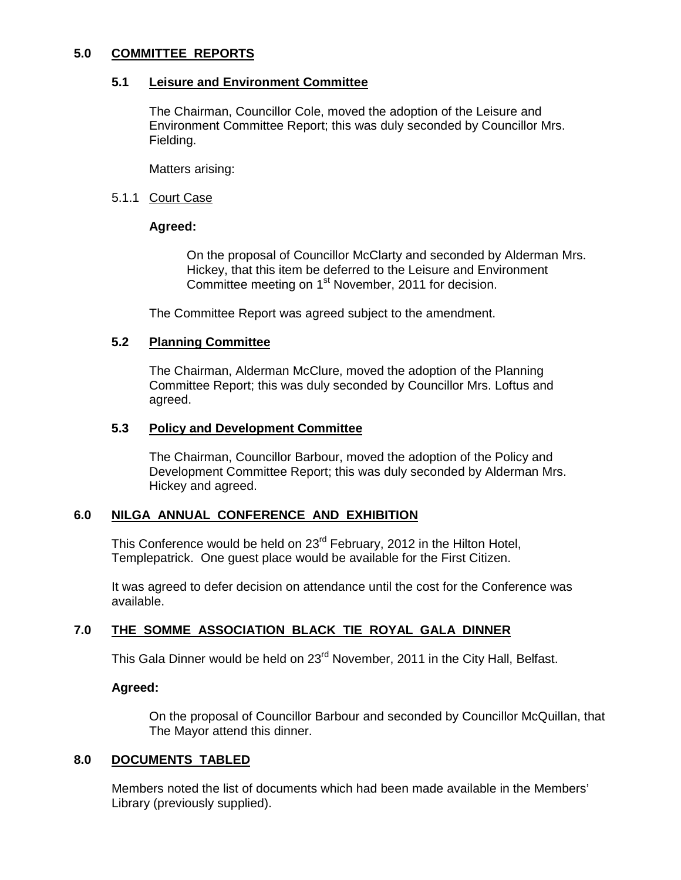### **5.0 COMMITTEE REPORTS**

### **5.1 Leisure and Environment Committee**

 The Chairman, Councillor Cole, moved the adoption of the Leisure and Environment Committee Report; this was duly seconded by Councillor Mrs. Fielding.

Matters arising:

#### 5.1.1 Court Case

### **Agreed:**

On the proposal of Councillor McClarty and seconded by Alderman Mrs. Hickey, that this item be deferred to the Leisure and Environment Committee meeting on 1<sup>st</sup> November, 2011 for decision.

The Committee Report was agreed subject to the amendment.

## **5.2 Planning Committee**

 The Chairman, Alderman McClure, moved the adoption of the Planning Committee Report; this was duly seconded by Councillor Mrs. Loftus and agreed.

#### **5.3 Policy and Development Committee**

 The Chairman, Councillor Barbour, moved the adoption of the Policy and Development Committee Report; this was duly seconded by Alderman Mrs. Hickey and agreed.

## **6.0 NILGA ANNUAL CONFERENCE AND EXHIBITION**

This Conference would be held on 23<sup>rd</sup> February, 2012 in the Hilton Hotel, Templepatrick. One guest place would be available for the First Citizen.

It was agreed to defer decision on attendance until the cost for the Conference was available.

## **7.0 THE SOMME ASSOCIATION BLACK TIE ROYAL GALA DINNER**

This Gala Dinner would be held on 23<sup>rd</sup> November, 2011 in the City Hall, Belfast.

#### **Agreed:**

On the proposal of Councillor Barbour and seconded by Councillor McQuillan, that The Mayor attend this dinner.

## **8.0 DOCUMENTS TABLED**

 Members noted the list of documents which had been made available in the Members' Library (previously supplied).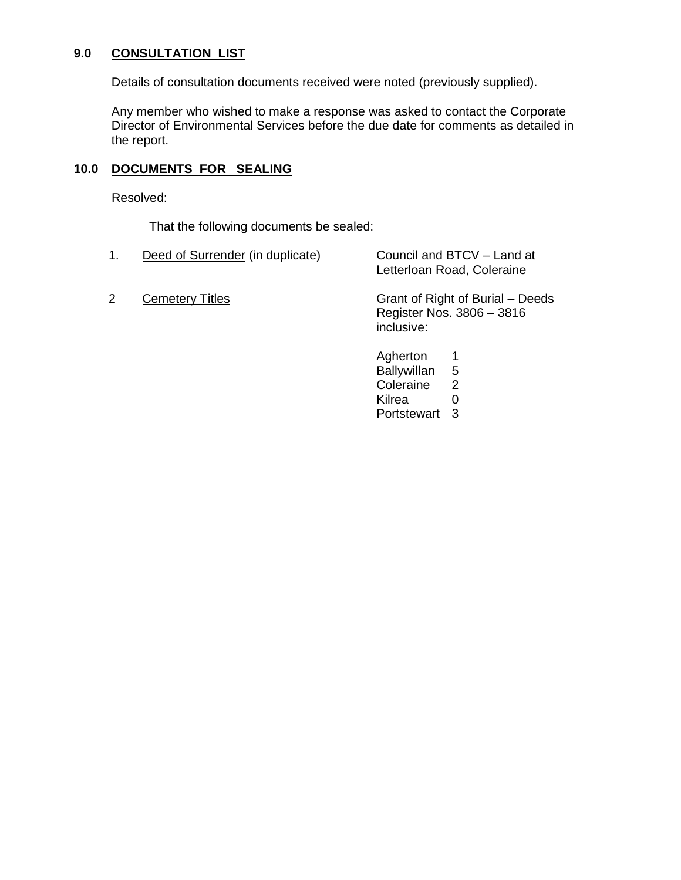## **9.0 CONSULTATION LIST**

Details of consultation documents received were noted (previously supplied).

 Any member who wished to make a response was asked to contact the Corporate Director of Environmental Services before the due date for comments as detailed in the report.

## **10.0 DOCUMENTS FOR SEALING**

Resolved:

That the following documents be sealed:

1. 2 Deed of Surrender (in duplicate) **Cemetery Titles** Council and BTCV – Land at Letterloan Road, Coleraine Grant of Right of Burial – Deeds

Register Nos. 3806 – 3816 inclusive:

Agherton 1 Ballywillan 5 Coleraine 2 Kilrea 0 Portstewart 3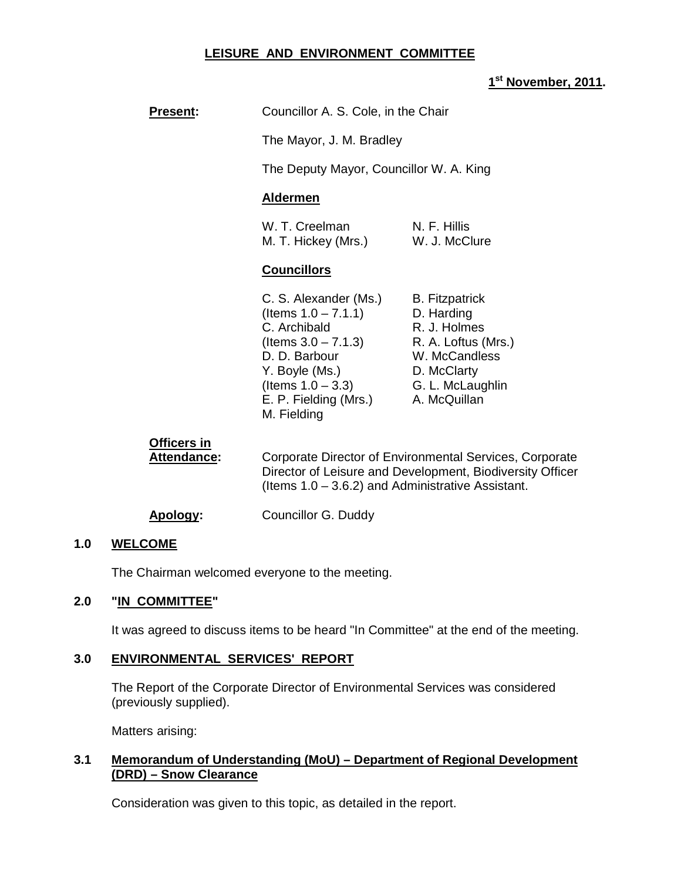## **LEISURE AND ENVIRONMENT COMMITTEE**

## **1 st November, 2011.**

| <b>Present:</b> | Councillor A. S. Cole, in the Chair |
|-----------------|-------------------------------------|
|                 |                                     |

The Mayor, J. M. Bradley

The Deputy Mayor, Councillor W. A. King

#### **Aldermen**

| W. T. Creelman      | N. F. Hillis  |
|---------------------|---------------|
| M. T. Hickey (Mrs.) | W. J. McClure |

## **Councillors**

| <b>B.</b> Fitzpatrick |
|-----------------------|
| D. Harding            |
| R. J. Holmes          |
| R. A. Loftus (Mrs.)   |
| W. McCandless         |
| D. McClarty           |
| G. L. McLaughlin      |
| A. McQuillan          |
|                       |
|                       |

| Officers in<br>Attendance: | Corporate Director of Environmental Services, Corporate<br>Director of Leisure and Development, Biodiversity Officer<br>(Items $1.0 - 3.6.2$ ) and Administrative Assistant. |
|----------------------------|------------------------------------------------------------------------------------------------------------------------------------------------------------------------------|
| Apology:                   | Councillor G. Duddy                                                                                                                                                          |

#### **1.0 WELCOME**

The Chairman welcomed everyone to the meeting.

#### **2.0 "IN COMMITTEE"**

It was agreed to discuss items to be heard "In Committee" at the end of the meeting.

#### **3.0 ENVIRONMENTAL SERVICES' REPORT**

 The Report of the Corporate Director of Environmental Services was considered (previously supplied).

Matters arising:

## **3.1 Memorandum of Understanding (MoU) – Department of Regional Development (DRD) – Snow Clearance**

Consideration was given to this topic, as detailed in the report.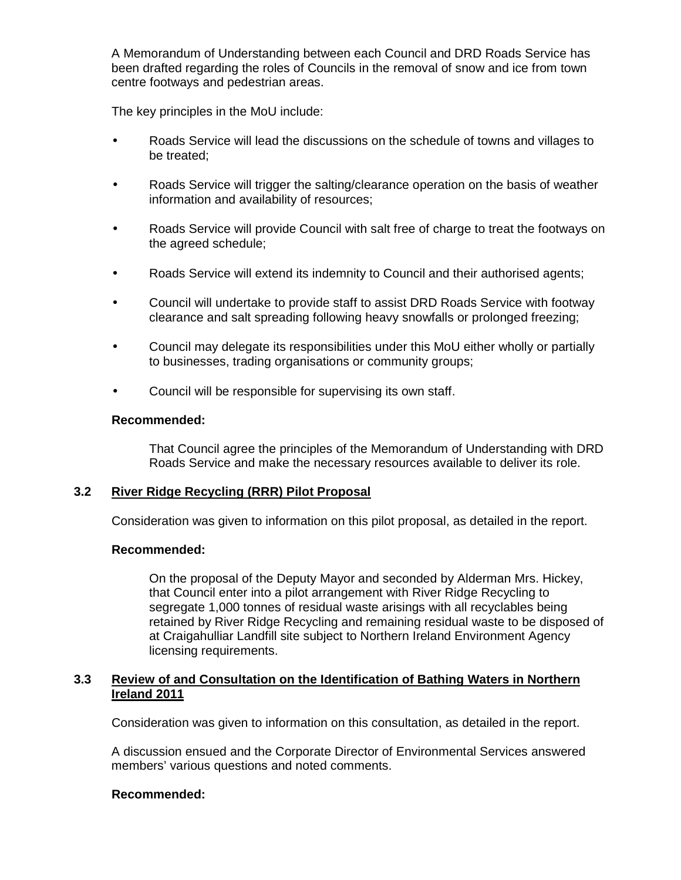A Memorandum of Understanding between each Council and DRD Roads Service has been drafted regarding the roles of Councils in the removal of snow and ice from town centre footways and pedestrian areas.

The key principles in the MoU include:

- Roads Service will lead the discussions on the schedule of towns and villages to be treated;
- Roads Service will trigger the salting/clearance operation on the basis of weather information and availability of resources;
- Roads Service will provide Council with salt free of charge to treat the footways on the agreed schedule;
- Roads Service will extend its indemnity to Council and their authorised agents;
- Council will undertake to provide staff to assist DRD Roads Service with footway clearance and salt spreading following heavy snowfalls or prolonged freezing;
- Council may delegate its responsibilities under this MoU either wholly or partially to businesses, trading organisations or community groups;
- Council will be responsible for supervising its own staff.

#### **Recommended:**

That Council agree the principles of the Memorandum of Understanding with DRD Roads Service and make the necessary resources available to deliver its role.

#### **3.2 River Ridge Recycling (RRR) Pilot Proposal**

Consideration was given to information on this pilot proposal, as detailed in the report.

#### **Recommended:**

On the proposal of the Deputy Mayor and seconded by Alderman Mrs. Hickey, that Council enter into a pilot arrangement with River Ridge Recycling to segregate 1,000 tonnes of residual waste arisings with all recyclables being retained by River Ridge Recycling and remaining residual waste to be disposed of at Craigahulliar Landfill site subject to Northern Ireland Environment Agency licensing requirements.

## **3.3 Review of and Consultation on the Identification of Bathing Waters in Northern Ireland 2011**

Consideration was given to information on this consultation, as detailed in the report.

A discussion ensued and the Corporate Director of Environmental Services answered members' various questions and noted comments.

#### **Recommended:**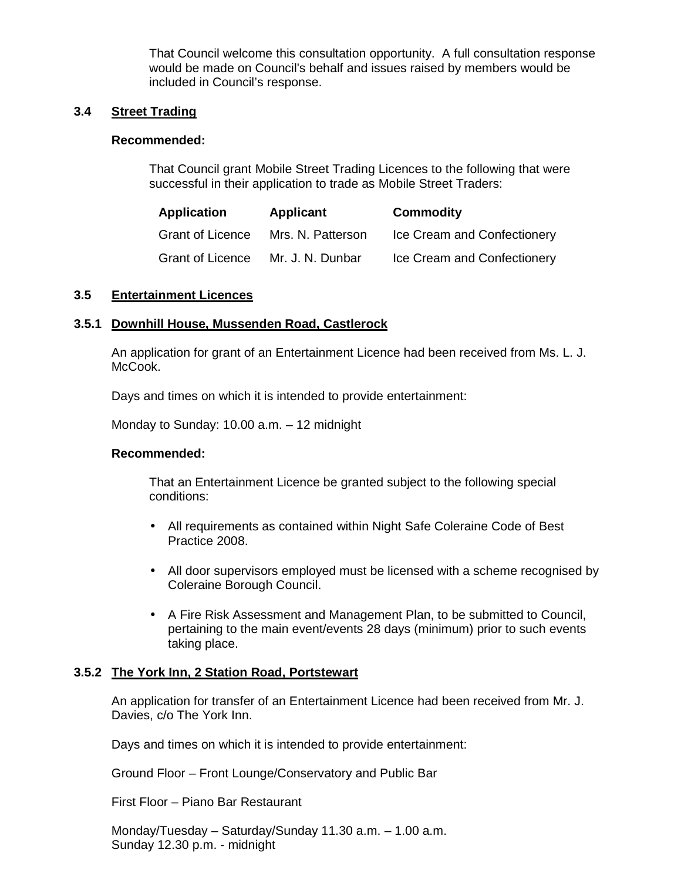That Council welcome this consultation opportunity. A full consultation response would be made on Council's behalf and issues raised by members would be included in Council's response.

### **3.4 Street Trading**

#### **Recommended:**

 That Council grant Mobile Street Trading Licences to the following that were successful in their application to trade as Mobile Street Traders:

| Application             | <b>Applicant</b>  | <b>Commodity</b>            |
|-------------------------|-------------------|-----------------------------|
| <b>Grant of Licence</b> | Mrs. N. Patterson | Ice Cream and Confectionery |
| <b>Grant of Licence</b> | Mr. J. N. Dunbar  | Ice Cream and Confectionery |

#### **3.5 Entertainment Licences**

## **3.5.1 Downhill House, Mussenden Road, Castlerock**

An application for grant of an Entertainment Licence had been received from Ms. L. J. McCook.

Days and times on which it is intended to provide entertainment:

Monday to Sunday: 10.00 a.m. – 12 midnight

#### **Recommended:**

 That an Entertainment Licence be granted subject to the following special conditions:

- All requirements as contained within Night Safe Coleraine Code of Best Practice 2008.
- All door supervisors employed must be licensed with a scheme recognised by Coleraine Borough Council.
- A Fire Risk Assessment and Management Plan, to be submitted to Council, pertaining to the main event/events 28 days (minimum) prior to such events taking place.

## **3.5.2 The York Inn, 2 Station Road, Portstewart**

An application for transfer of an Entertainment Licence had been received from Mr. J. Davies, c/o The York Inn.

Days and times on which it is intended to provide entertainment:

Ground Floor – Front Lounge/Conservatory and Public Bar

First Floor – Piano Bar Restaurant

 Monday/Tuesday – Saturday/Sunday 11.30 a.m. – 1.00 a.m. Sunday 12.30 p.m. - midnight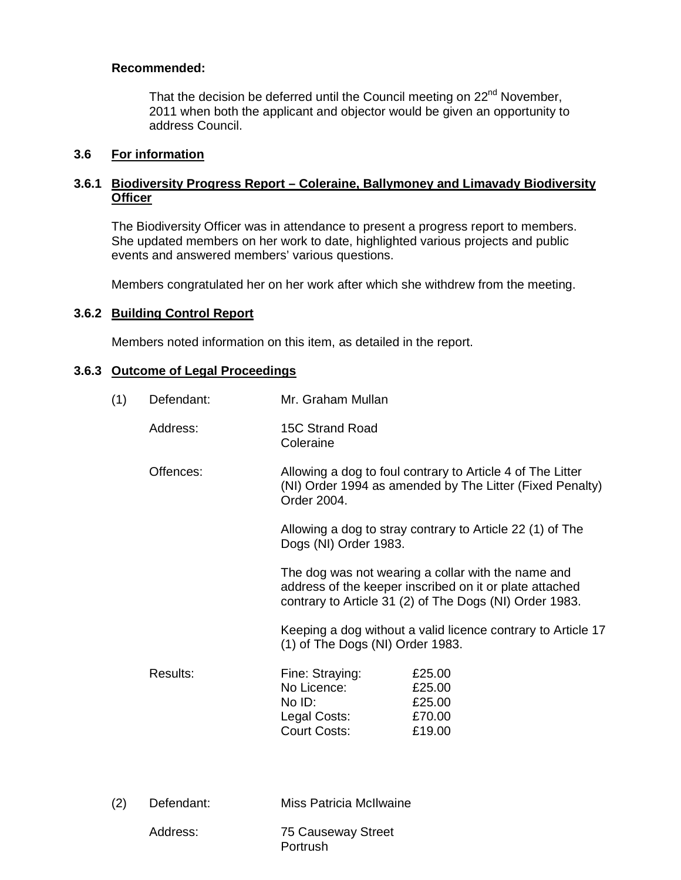## **Recommended:**

That the decision be deferred until the Council meeting on 22<sup>nd</sup> November, 2011 when both the applicant and objector would be given an opportunity to address Council.

## **3.6 For information**

## **3.6.1 Biodiversity Progress Report – Coleraine, Ballymoney and Limavady Biodiversity Officer**

The Biodiversity Officer was in attendance to present a progress report to members. She updated members on her work to date, highlighted various projects and public events and answered members' various questions.

Members congratulated her on her work after which she withdrew from the meeting.

## **3.6.2 Building Control Report**

Members noted information on this item, as detailed in the report.

#### **3.6.3 Outcome of Legal Proceedings**

| (1) | Defendant: | Mr. Graham Mullan                                                               |                                                                                                                                                                          |
|-----|------------|---------------------------------------------------------------------------------|--------------------------------------------------------------------------------------------------------------------------------------------------------------------------|
|     | Address:   | 15C Strand Road<br>Coleraine                                                    |                                                                                                                                                                          |
|     | Offences:  | Order 2004.                                                                     | Allowing a dog to foul contrary to Article 4 of The Litter<br>(NI) Order 1994 as amended by The Litter (Fixed Penalty)                                                   |
|     |            | Dogs (NI) Order 1983.                                                           | Allowing a dog to stray contrary to Article 22 (1) of The                                                                                                                |
|     |            |                                                                                 | The dog was not wearing a collar with the name and<br>address of the keeper inscribed on it or plate attached<br>contrary to Article 31 (2) of The Dogs (NI) Order 1983. |
|     |            | (1) of The Dogs (NI) Order 1983.                                                | Keeping a dog without a valid licence contrary to Article 17                                                                                                             |
|     | Results:   | Fine: Straying:<br>No Licence:<br>No ID:<br>Legal Costs:<br><b>Court Costs:</b> | £25.00<br>£25.00<br>£25.00<br>£70.00<br>£19.00                                                                                                                           |
| (2) | Defendant: | Miss Patricia McIlwaine                                                         |                                                                                                                                                                          |

| Address: | 75 Causeway Street |
|----------|--------------------|
|          | Portrush           |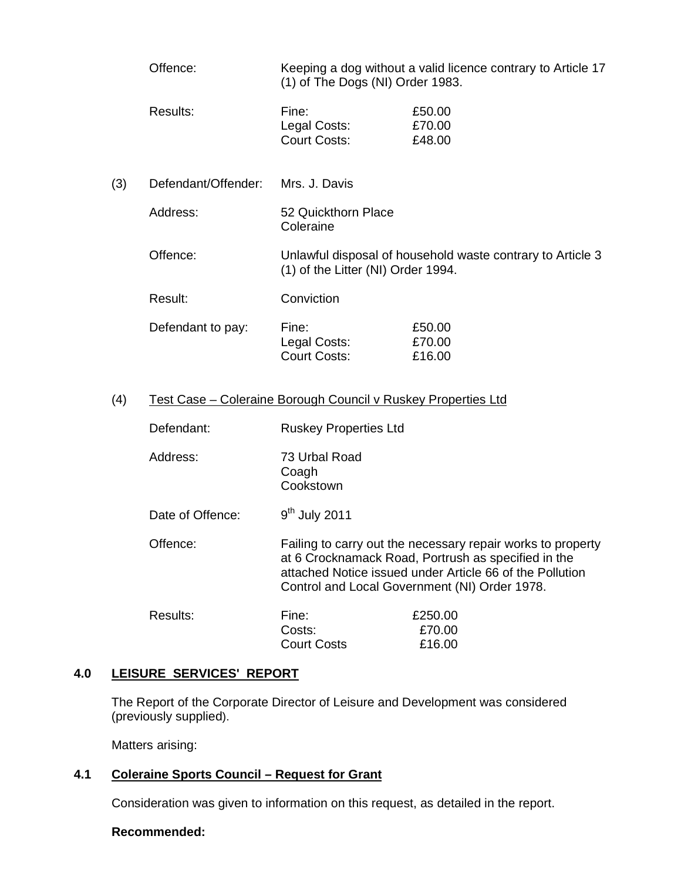- Offence: Keeping a dog without a valid licence contrary to Article 17 (1) of The Dogs (NI) Order 1983.
- Results: Fine: E50.00 Legal Costs: £70.00 Court Costs: £48.00
- (3) Defendant/Offender: Mrs. J. Davis
	- Address: 52 Quickthorn Place Coleraine
	- Offence: Unlawful disposal of household waste contrary to Article 3 (1) of the Litter (NI) Order 1994.
	- Result: Conviction
	- Defendant to pay: Fine: £50.00 Legal Costs: £70.00 Court Costs: £16.00

## (4) Test Case – Coleraine Borough Council v Ruskey Properties Ltd

| Defendant: | <b>Ruskey Properties Ltd</b> |
|------------|------------------------------|
|            |                              |

- Address: 73 Urbal Road Coagh **Cookstown**
- Date of Offence:  $9<sup>th</sup>$  July 2011
- Offence: Failing to carry out the necessary repair works to property at 6 Crocknamack Road, Portrush as specified in the attached Notice issued under Article 66 of the Pollution Control and Local Government (NI) Order 1978.

| Results: | Fine:              | £250.00 |
|----------|--------------------|---------|
|          | Costs:             | £70.00  |
|          | <b>Court Costs</b> | £16.00  |

## **4.0 LEISURE SERVICES' REPORT**

 The Report of the Corporate Director of Leisure and Development was considered (previously supplied).

Matters arising:

## **4.1 Coleraine Sports Council – Request for Grant**

Consideration was given to information on this request, as detailed in the report.

## **Recommended:**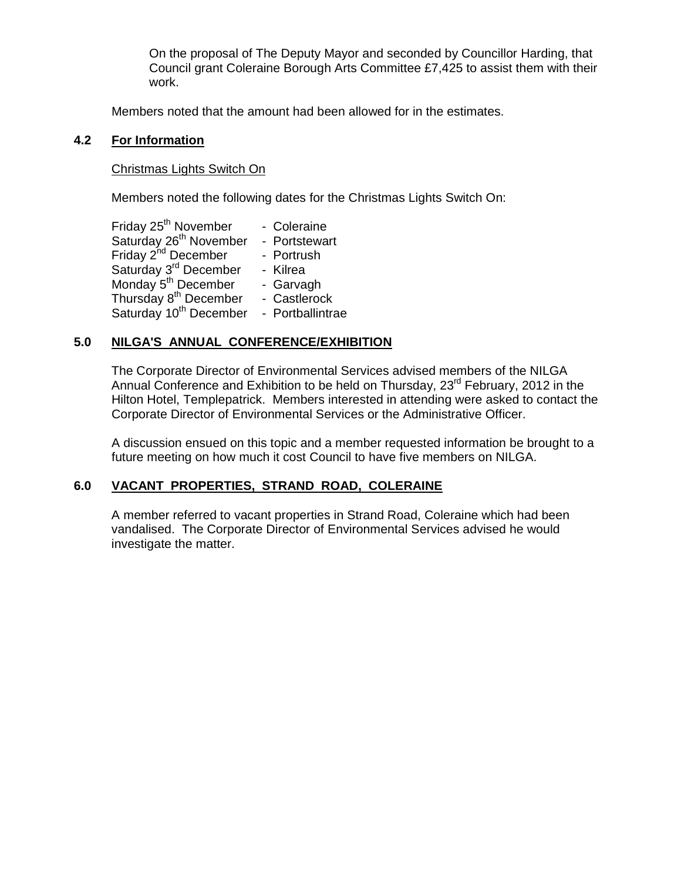On the proposal of The Deputy Mayor and seconded by Councillor Harding, that Council grant Coleraine Borough Arts Committee £7,425 to assist them with their work.

Members noted that the amount had been allowed for in the estimates.

#### **4.2 For Information**

#### Christmas Lights Switch On

Members noted the following dates for the Christmas Lights Switch On:

| Friday 25 <sup>th</sup> November   | - Coleraine      |
|------------------------------------|------------------|
| Saturday 26 <sup>th</sup> November | - Portstewart    |
| Friday 2 <sup>nd</sup> December    | - Portrush       |
| Saturday 3 <sup>rd</sup> December  | - Kilrea         |
| Monday 5 <sup>th</sup> December    | - Garvagh        |
| Thursday 8 <sup>th</sup> December  | - Castlerock     |
| Saturday 10 <sup>th</sup> December | - Portballintrae |

## **5.0 NILGA'S ANNUAL CONFERENCE/EXHIBITION**

The Corporate Director of Environmental Services advised members of the NILGA Annual Conference and Exhibition to be held on Thursday, 23<sup>rd</sup> February, 2012 in the Hilton Hotel, Templepatrick. Members interested in attending were asked to contact the Corporate Director of Environmental Services or the Administrative Officer.

A discussion ensued on this topic and a member requested information be brought to a future meeting on how much it cost Council to have five members on NILGA.

## **6.0 VACANT PROPERTIES, STRAND ROAD, COLERAINE**

A member referred to vacant properties in Strand Road, Coleraine which had been vandalised. The Corporate Director of Environmental Services advised he would investigate the matter.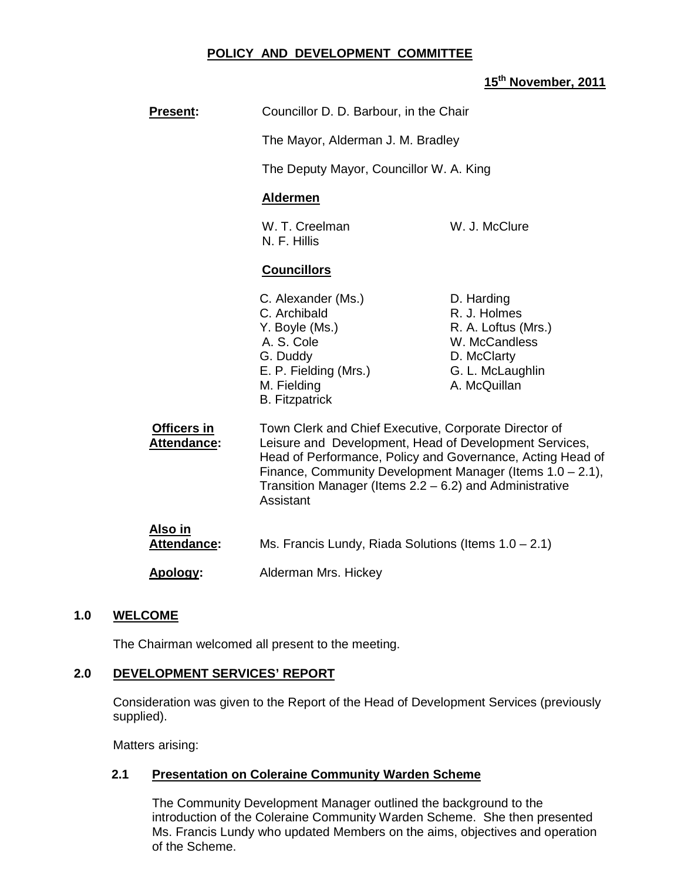## **POLICY AND DEVELOPMENT COMMITTEE**

# **15th November, 2011**

| <b>Present:</b>               | Councillor D. D. Barbour, in the Chair                                                                                                                                                                                                                                                                                |                                                                                                                       |
|-------------------------------|-----------------------------------------------------------------------------------------------------------------------------------------------------------------------------------------------------------------------------------------------------------------------------------------------------------------------|-----------------------------------------------------------------------------------------------------------------------|
|                               | The Mayor, Alderman J. M. Bradley                                                                                                                                                                                                                                                                                     |                                                                                                                       |
|                               | The Deputy Mayor, Councillor W. A. King                                                                                                                                                                                                                                                                               |                                                                                                                       |
|                               | <b>Aldermen</b>                                                                                                                                                                                                                                                                                                       |                                                                                                                       |
|                               | W. T. Creelman<br>N. F. Hillis                                                                                                                                                                                                                                                                                        | W. J. McClure                                                                                                         |
|                               | <b>Councillors</b>                                                                                                                                                                                                                                                                                                    |                                                                                                                       |
|                               | C. Alexander (Ms.)<br>C. Archibald<br>Y. Boyle (Ms.)<br>A. S. Cole<br>G. Duddy<br>E. P. Fielding (Mrs.)<br>M. Fielding<br><b>B.</b> Fitzpatrick                                                                                                                                                                       | D. Harding<br>R. J. Holmes<br>R. A. Loftus (Mrs.)<br>W. McCandless<br>D. McClarty<br>G. L. McLaughlin<br>A. McQuillan |
| Officers in<br>Attendance:    | Town Clerk and Chief Executive, Corporate Director of<br>Leisure and Development, Head of Development Services,<br>Head of Performance, Policy and Governance, Acting Head of<br>Finance, Community Development Manager (Items 1.0 - 2.1),<br>Transition Manager (Items $2.2 - 6.2$ ) and Administrative<br>Assistant |                                                                                                                       |
| <u>Also in</u><br>Attendance: | Ms. Francis Lundy, Riada Solutions (Items $1.0 - 2.1$ )                                                                                                                                                                                                                                                               |                                                                                                                       |
| Apology:                      | Alderman Mrs. Hickey                                                                                                                                                                                                                                                                                                  |                                                                                                                       |

## **1.0 WELCOME**

The Chairman welcomed all present to the meeting.

## **2.0 DEVELOPMENT SERVICES' REPORT**

 Consideration was given to the Report of the Head of Development Services (previously supplied).

Matters arising:

## **2.1 Presentation on Coleraine Community Warden Scheme**

The Community Development Manager outlined the background to the introduction of the Coleraine Community Warden Scheme. She then presented Ms. Francis Lundy who updated Members on the aims, objectives and operation of the Scheme.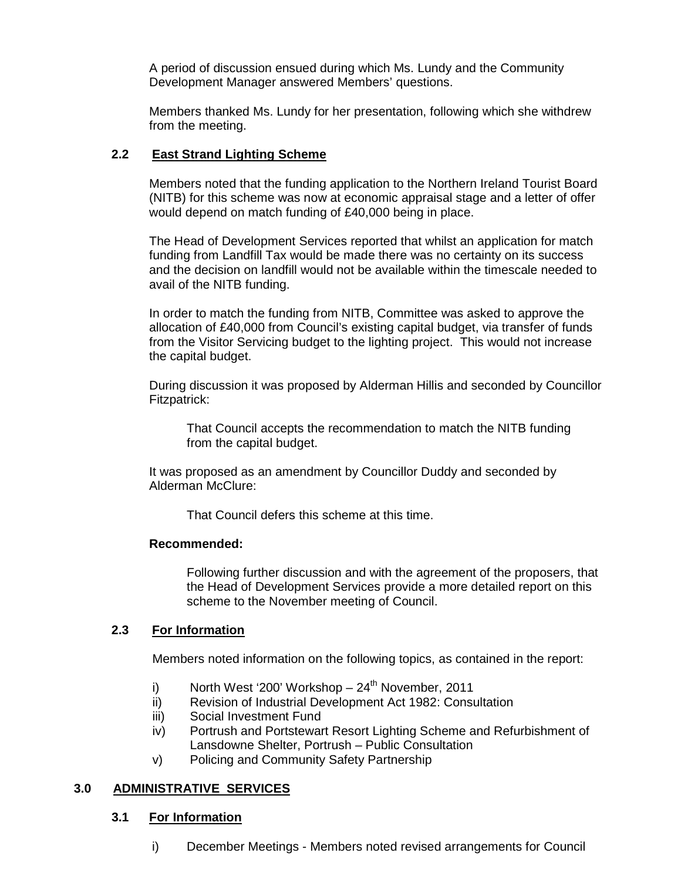A period of discussion ensued during which Ms. Lundy and the Community Development Manager answered Members' questions.

Members thanked Ms. Lundy for her presentation, following which she withdrew from the meeting.

## **2.2 East Strand Lighting Scheme**

Members noted that the funding application to the Northern Ireland Tourist Board (NITB) for this scheme was now at economic appraisal stage and a letter of offer would depend on match funding of £40,000 being in place.

The Head of Development Services reported that whilst an application for match funding from Landfill Tax would be made there was no certainty on its success and the decision on landfill would not be available within the timescale needed to avail of the NITB funding.

In order to match the funding from NITB, Committee was asked to approve the allocation of £40,000 from Council's existing capital budget, via transfer of funds from the Visitor Servicing budget to the lighting project. This would not increase the capital budget.

During discussion it was proposed by Alderman Hillis and seconded by Councillor Fitzpatrick:

 That Council accepts the recommendation to match the NITB funding from the capital budget.

It was proposed as an amendment by Councillor Duddy and seconded by Alderman McClure:

That Council defers this scheme at this time.

## **Recommended:**

 Following further discussion and with the agreement of the proposers, that the Head of Development Services provide a more detailed report on this scheme to the November meeting of Council.

## **2.3 For Information**

Members noted information on the following topics, as contained in the report:

- i) North West '200' Workshop  $-24<sup>th</sup>$  November, 2011
- ii) Revision of Industrial Development Act 1982: Consultation
- iii) Social Investment Fund
- iv) Portrush and Portstewart Resort Lighting Scheme and Refurbishment of Lansdowne Shelter, Portrush – Public Consultation
- v) Policing and Community Safety Partnership

## **3.0 ADMINISTRATIVE SERVICES**

## **3.1 For Information**

i) December Meetings - Members noted revised arrangements for Council